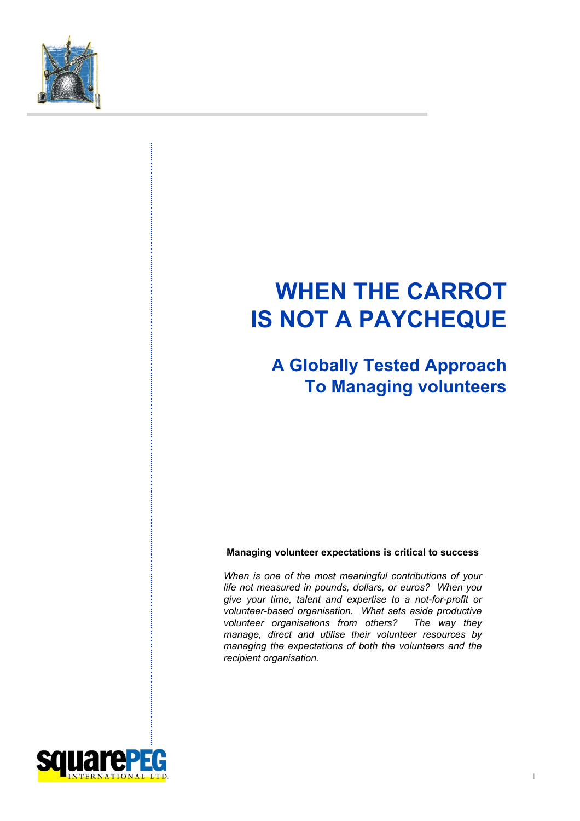

# **WHEN THE CARROT IS NOT A PAYCHEQUE**

**A Globally Tested Approach To Managing volunteers**

#### **Managing volunteer expectations is critical to success**

*When is one of the most meaningful contributions of your life not measured in pounds, dollars, or euros? When you give your time, talent and expertise to a not-for-profit or volunteer-based organisation. What sets aside productive volunteer organisations from others? The way they manage, direct and utilise their volunteer resources by managing the expectations of both the volunteers and the recipient organisation.*

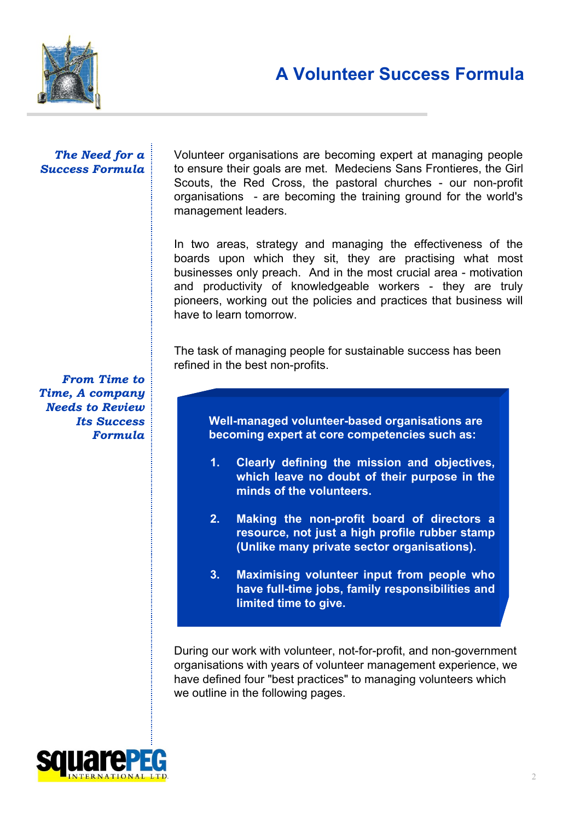

#### *The Need for a Success Formula*

Volunteer organisations are becoming expert at managing people to ensure their goals are met. Medeciens Sans Frontieres, the Girl Scouts, the Red Cross, the pastoral churches - our non-profit organisations - are becoming the training ground for the world's management leaders.

In two areas, strategy and managing the effectiveness of the boards upon which they sit, they are practising what most businesses only preach. And in the most crucial area - motivation and productivity of knowledgeable workers - they are truly pioneers, working out the policies and practices that business will have to learn tomorrow.

The task of managing people for sustainable success has been refined in the best non-profits.

*From Time to Time, A company Needs to Review Its Success Formula*

**Well-managed volunteer-based organisations are becoming expert at core competencies such as:**

- **1. Clearly defining the mission and objectives, which leave no doubt of their purpose in the minds of the volunteers.**
- **2. Making the non-profit board of directors a resource, not just a high profile rubber stamp (Unlike many private sector organisations).**
- **3. Maximising volunteer input from people who have full-time jobs, family responsibilities and limited time to give.**

During our work with volunteer, not-for-profit, and non-government organisations with years of volunteer management experience, we have defined four "best practices" to managing volunteers which we outline in the following pages.

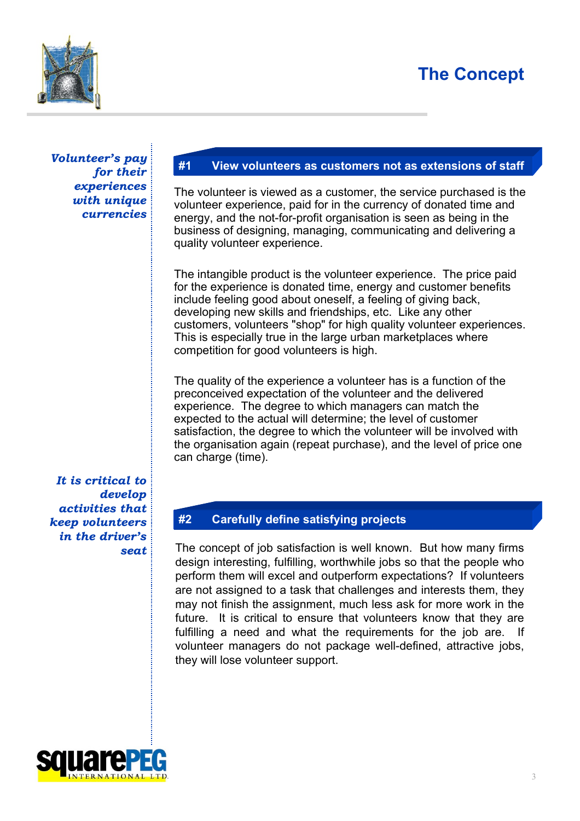## **The Concept**



*Volunteer's pay for their experiences with unique currencies*

### **#1 View volunteers as customers not as extensions of staff**

The volunteer is viewed as a customer, the service purchased is the volunteer experience, paid for in the currency of donated time and energy, and the not-for-profit organisation is seen as being in the business of designing, managing, communicating and delivering a quality volunteer experience.

The intangible product is the volunteer experience. The price paid for the experience is donated time, energy and customer benefits include feeling good about oneself, a feeling of giving back, developing new skills and friendships, etc. Like any other customers, volunteers "shop" for high quality volunteer experiences. This is especially true in the large urban marketplaces where competition for good volunteers is high.

The quality of the experience a volunteer has is a function of the preconceived expectation of the volunteer and the delivered experience. The degree to which managers can match the expected to the actual will determine; the level of customer satisfaction, the degree to which the volunteer will be involved with the organisation again (repeat purchase), and the level of price one can charge (time).

*It is critical to develop activities that keep volunteers in the driver's seat*

### **#2 Carefully define satisfying projects**

The concept of job satisfaction is well known. But how many firms design interesting, fulfilling, worthwhile jobs so that the people who perform them will excel and outperform expectations? If volunteers are not assigned to a task that challenges and interests them, they may not finish the assignment, much less ask for more work in the future. It is critical to ensure that volunteers know that they are fulfilling a need and what the requirements for the job are. If volunteer managers do not package well-defined, attractive jobs, they will lose volunteer support.

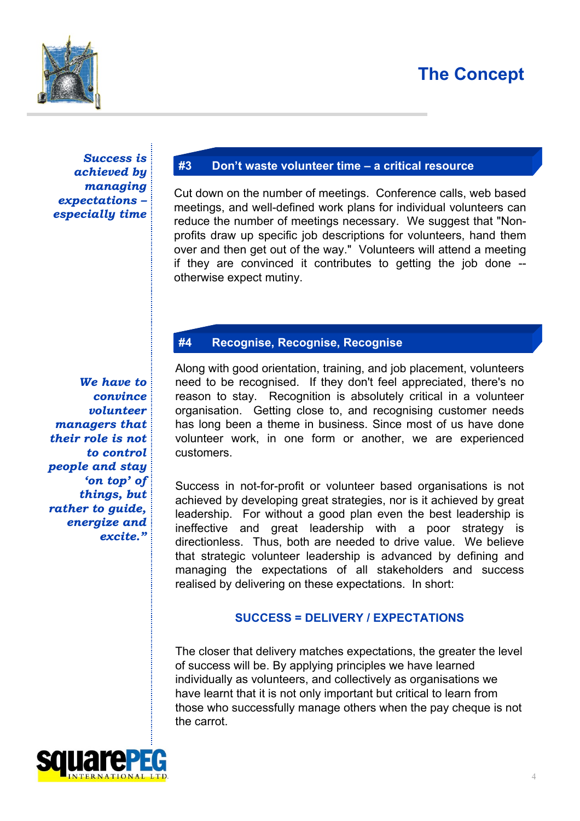## **The Concept**



*Success is achieved by managing expectations – especially time*

### **#3 Don't waste volunteer time – a critical resource**

Cut down on the number of meetings. Conference calls, web based meetings, and well-defined work plans for individual volunteers can reduce the number of meetings necessary. We suggest that "Nonprofits draw up specific job descriptions for volunteers, hand them over and then get out of the way." Volunteers will attend a meeting if they are convinced it contributes to getting the job done - otherwise expect mutiny.

### **#4 Recognise, Recognise, Recognise**

*We have to convince volunteer managers that their role is not to control people and stay 'on top' of things, but rather to guide, energize and excite."*

Along with good orientation, training, and job placement, volunteers need to be recognised. If they don't feel appreciated, there's no reason to stay. Recognition is absolutely critical in a volunteer organisation. Getting close to, and recognising customer needs has long been a theme in business. Since most of us have done volunteer work, in one form or another, we are experienced customers.

Success in not-for-profit or volunteer based organisations is not achieved by developing great strategies, nor is it achieved by great leadership. For without a good plan even the best leadership is ineffective and great leadership with a poor strategy is directionless. Thus, both are needed to drive value. We believe that strategic volunteer leadership is advanced by defining and managing the expectations of all stakeholders and success realised by delivering on these expectations. In short:

#### **SUCCESS = DELIVERY / EXPECTATIONS**

The closer that delivery matches expectations, the greater the level of success will be. By applying principles we have learned individually as volunteers, and collectively as organisations we have learnt that it is not only important but critical to learn from those who successfully manage others when the pay cheque is not the carrot.

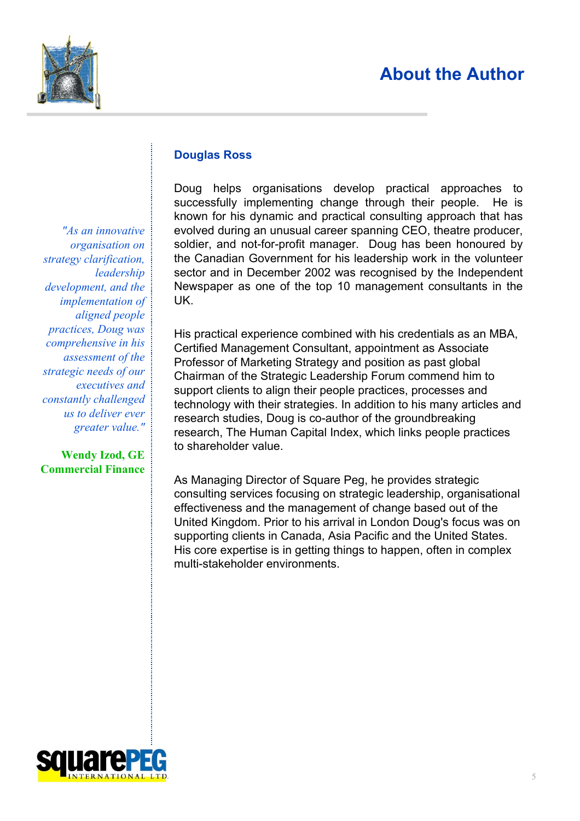### **About the Author**



*"As an innovative organisation on strategy clarification, leadership development, and the implementation of aligned people practices, Doug was comprehensive in his assessment of the strategic needs of our executives and constantly challenged us to deliver ever greater value."*

**Wendy Izod, GE Commercial Finance**

### **Douglas Ross**

Doug helps organisations develop practical approaches to successfully implementing change through their people. He is known for his dynamic and practical consulting approach that has evolved during an unusual career spanning CEO, theatre producer, soldier, and not-for-profit manager. Doug has been honoured by the Canadian Government for his leadership work in the volunteer sector and in December 2002 was recognised by the Independent Newspaper as one of the top 10 management consultants in the UK.

His practical experience combined with his credentials as an MBA, Certified Management Consultant, appointment as Associate Professor of Marketing Strategy and position as past global Chairman of the Strategic Leadership Forum commend him to support clients to align their people practices, processes and technology with their strategies. In addition to his many articles and research studies, Doug is co-author of the groundbreaking research, The Human Capital Index, which links people practices to shareholder value.

As Managing Director of Square Peg, he provides strategic consulting services focusing on strategic leadership, organisational effectiveness and the management of change based out of the United Kingdom. Prior to his arrival in London Doug's focus was on supporting clients in Canada, Asia Pacific and the United States. His core expertise is in getting things to happen, often in complex multi-stakeholder environments.